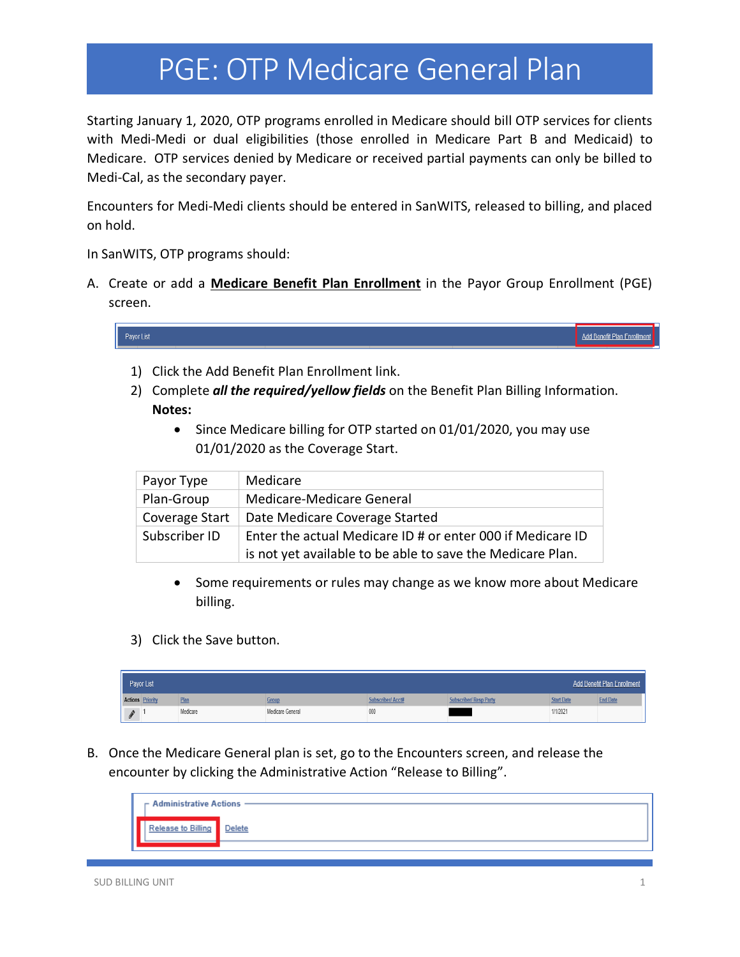Starting January 1, 2020, OTP programs enrolled in Medicare should bill OTP services for clients with Medi-Medi or dual eligibilities (those enrolled in Medicare Part B and Medicaid) to Medicare. OTP services denied by Medicare or received partial payments can only be billed to Medi-Cal, as the secondary payer.

Encounters for Medi-Medi clients should be entered in SanWITS, released to billing, and placed on hold.

In SanWITS, OTP programs should:

A. Create or add a **Medicare Benefit Plan Enrollment** in the Payor Group Enrollment (PGE) screen.



- 1) Click the Add Benefit Plan Enrollment link.
- 2) Complete *all the required/yellow fields* on the Benefit Plan Billing Information. **Notes:**
	- Since Medicare billing for OTP started on 01/01/2020, you may use 01/01/2020 as the Coverage Start.

| Payor Type     | Medicare                                                   |
|----------------|------------------------------------------------------------|
| Plan-Group     | Medicare-Medicare General                                  |
| Coverage Start | Date Medicare Coverage Started                             |
| Subscriber ID  | Enter the actual Medicare ID # or enter 000 if Medicare ID |
|                | is not yet available to be able to save the Medicare Plan. |

- Some requirements or rules may change as we know more about Medicare billing.
- 3) Click the Save button.

| Payor List<br>Add Benefit Plan Enrollment |  |          |                  |                       |                       |                   |                 |  |  |  |  |  |
|-------------------------------------------|--|----------|------------------|-----------------------|-----------------------|-------------------|-----------------|--|--|--|--|--|
| <b>Actions Priority</b>                   |  | Plan     | Group            | <b>bscriber/Acctf</b> | iubscriber/ Resp Part | <b>Start Date</b> | <b>End Date</b> |  |  |  |  |  |
| s                                         |  | Medicare | Medicare General | 000                   |                       | 1/1/2021          |                 |  |  |  |  |  |

B. Once the Medicare General plan is set, go to the Encounters screen, and release the encounter by clicking the Administrative Action "Release to Billing".

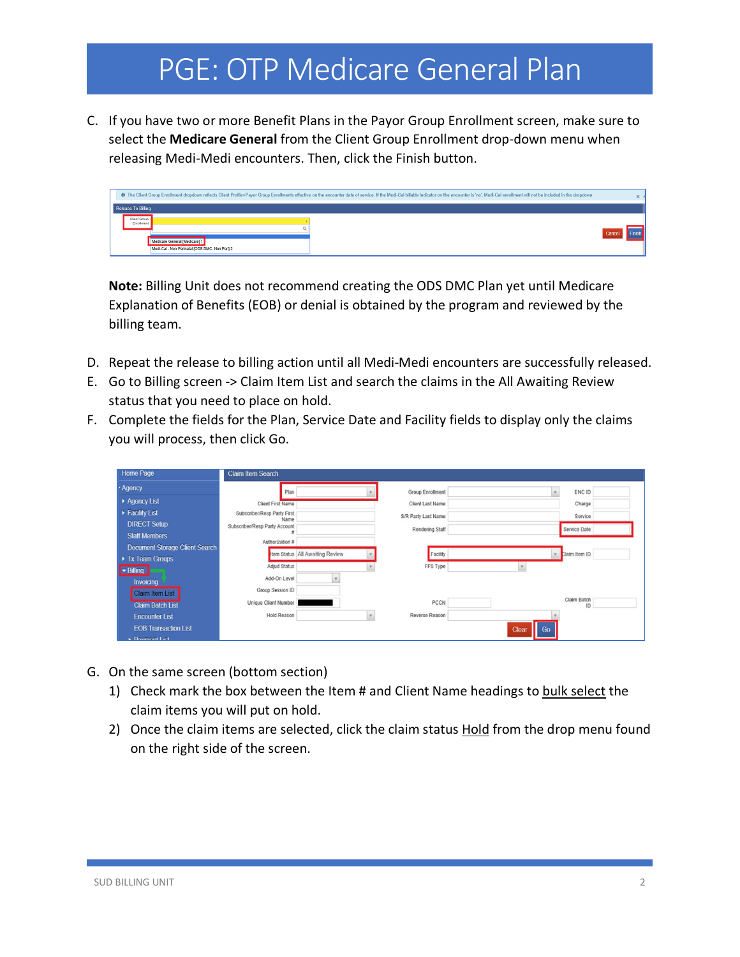C. If you have two or more Benefit Plans in the Payor Group Enrollment screen, make sure to select the **Medicare General** from the Client Group Enrollment drop-down menu when releasing Medi-Medi encounters. Then, click the Finish button.

|                               | The Client Group Enrollment dropdown reflects Client Profile>Payor Group Enrollments effective on the encounter date of service. If the Medi-Cal billable indicator on the encounter is 'no', Medi-Cal enrollment will not be |        | $\times$ |
|-------------------------------|-------------------------------------------------------------------------------------------------------------------------------------------------------------------------------------------------------------------------------|--------|----------|
| Release To Billing            |                                                                                                                                                                                                                               |        |          |
| Client Group<br>Enrollment    |                                                                                                                                                                                                                               |        |          |
| Medicare General [Medicare] 1 | Medi-Cal - Non Perinatal (ODS DMC- Non Peri) 2                                                                                                                                                                                | Cancel |          |

**Note:** Billing Unit does not recommend creating the ODS DMC Plan yet until Medicare Explanation of Benefits (EOB) or denial is obtained by the program and reviewed by the billing team.

- D. Repeat the release to billing action until all Medi-Medi encounters are successfully released.
- E. Go to Billing screen -> Claim Item List and search the claims in the All Awaiting Review status that you need to place on hold.
- F. Complete the fields for the Plan, Service Date and Facility fields to display only the claims you will process, then click Go.

| Home Page                             | <b>Claim Item Search</b>              |                                 |                         |               |  |
|---------------------------------------|---------------------------------------|---------------------------------|-------------------------|---------------|--|
| · Agency                              | Plan                                  |                                 | <b>Group Enrollment</b> | ENC ID        |  |
| Agency List                           | <b>Client First Name</b>              |                                 | <b>Client Last Name</b> | Charge        |  |
| Facility List                         | Subscriber/Resp Party First           |                                 | S/R Party Last Name     | Service       |  |
| <b>DIRECT Setup</b>                   | Name<br>Subscriber/Resp Party Account |                                 | Rendering Staff         | Service Date  |  |
| <b>Staff Members</b>                  | Authorization #                       |                                 |                         |               |  |
| <b>Document Storage Client Search</b> |                                       | Item Status All Awaiting Review | Facility                | Claim Item ID |  |
| Tx Team Groups                        |                                       |                                 |                         |               |  |
| - Billing                             | <b>Adjud Status</b>                   |                                 | FFS Type                |               |  |
| Invoicing                             | Add-On Level                          |                                 |                         |               |  |
| <b>Claim Item List</b>                | Group Session ID                      |                                 |                         | Claim Batch   |  |
| <b>Claim Batch List</b>               | <b>Unique Client Number</b>           |                                 | PCCN                    | ID            |  |
| <b>Encounter List</b>                 | <b>Hold Reason</b>                    |                                 | Reverse Reason          |               |  |
| <b>EOB Transaction List</b>           |                                       |                                 |                         | Go<br>Clear   |  |
| Daymont Liet                          |                                       |                                 |                         |               |  |

- G. On the same screen (bottom section)
	- 1) Check mark the box between the Item # and Client Name headings to bulk select the claim items you will put on hold.
	- 2) Once the claim items are selected, click the claim status **Hold** from the drop menu found on the right side of the screen.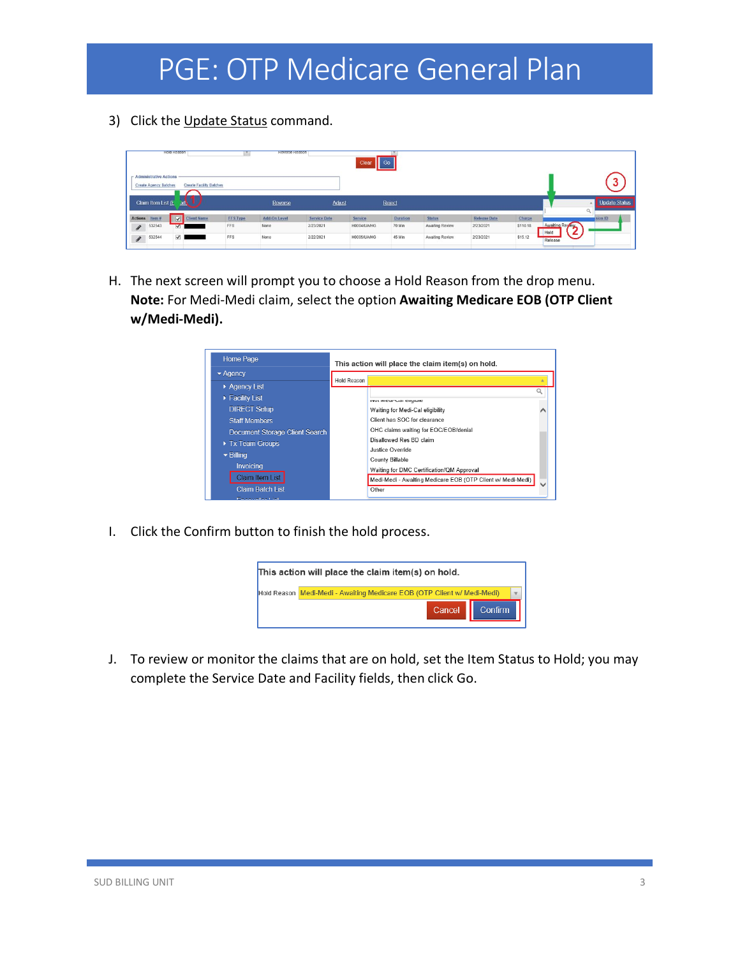3) Click the Update Status command.

|                                                          | <b>HORD REASON</b>                   |                 | <b>Reverse Reason</b> |                     | Clear       | $\overline{\phantom{a}}$ Go |                 |                     |          |                 |               |
|----------------------------------------------------------|--------------------------------------|-----------------|-----------------------|---------------------|-------------|-----------------------------|-----------------|---------------------|----------|-----------------|---------------|
| - Administrative Actions<br><b>Create Agency Batches</b> | <b>Create Facility Batches</b>       |                 |                       |                     |             |                             |                 |                     |          |                 |               |
| Claim Item List (L                                       | art.                                 |                 | Reverse               | <b>Adjust</b>       |             | Reject                      |                 |                     |          | $\circ$         | Update Status |
| Actions Item#                                            | $\overline{v}$<br><b>Client Name</b> | <b>FFS Type</b> | Add-On Level          | <b>Service Date</b> | Service     | <b>Duration</b>             | <b>Status</b>   | <b>Release Date</b> | Charge   |                 | sion ID       |
| 532543<br>$\mathcal{J}$                                  | $\overline{\mathsf{v}}$              | FFS             | None                  | 2/23/2021           | H0004/UA/HG | 70 Min                      | Awaiting Review | 2/23/2021           | \$110.18 | Awaiting Review |               |
| 532544<br>$\begin{array}{c} \end{array}$                 | $\overline{v}$                       | FFS             | None                  | 2/22/2021           | H0005/UA/HG | 45 Min                      | Awaiting Review | 2/23/2021           | \$15.12  | Hold<br>Release |               |

H. The next screen will prompt you to choose a Hold Reason from the drop menu. **Note:** For Medi-Medi claim, select the option **Awaiting Medicare EOB (OTP Client w/Medi-Medi).**



I. Click the Confirm button to finish the hold process.



J. To review or monitor the claims that are on hold, set the Item Status to Hold; you may complete the Service Date and Facility fields, then click Go.